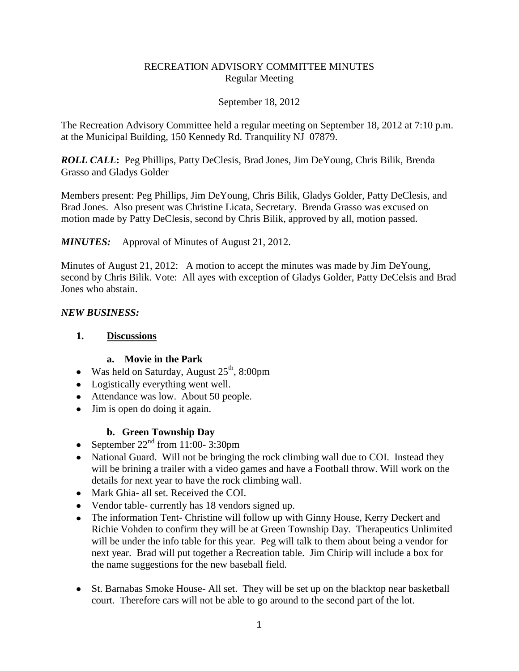### RECREATION ADVISORY COMMITTEE MINUTES Regular Meeting

#### September 18, 2012

The Recreation Advisory Committee held a regular meeting on September 18, 2012 at 7:10 p.m. at the Municipal Building, 150 Kennedy Rd. Tranquility NJ 07879.

*ROLL CALL***:** Peg Phillips, Patty DeClesis, Brad Jones, Jim DeYoung, Chris Bilik, Brenda Grasso and Gladys Golder

Members present: Peg Phillips, Jim DeYoung, Chris Bilik, Gladys Golder, Patty DeClesis, and Brad Jones. Also present was Christine Licata, Secretary. Brenda Grasso was excused on motion made by Patty DeClesis, second by Chris Bilik, approved by all, motion passed.

*MINUTES:* Approval of Minutes of August 21, 2012.

Minutes of August 21, 2012: A motion to accept the minutes was made by Jim DeYoung, second by Chris Bilik. Vote: All ayes with exception of Gladys Golder, Patty DeCelsis and Brad Jones who abstain.

### *NEW BUSINESS:*

### **1. Discussions**

### **a. Movie in the Park**

- Was held on Saturday, August 25<sup>th</sup>, 8:00pm
- Logistically everything went well.
- Attendance was low. About 50 people.
- Jim is open do doing it again.

# **b. Green Township Day**

- September  $22<sup>nd</sup>$  from 11:00-3:30pm
- National Guard. Will not be bringing the rock climbing wall due to COI. Instead they will be brining a trailer with a video games and have a Football throw. Will work on the details for next year to have the rock climbing wall.
- Mark Ghia- all set. Received the COI.
- Vendor table- currently has 18 vendors signed up.
- The information Tent- Christine will follow up with Ginny House, Kerry Deckert and Richie Vohden to confirm they will be at Green Township Day. Therapeutics Unlimited will be under the info table for this year. Peg will talk to them about being a vendor for next year. Brad will put together a Recreation table. Jim Chirip will include a box for the name suggestions for the new baseball field.
- St. Barnabas Smoke House- All set. They will be set up on the blacktop near basketball court. Therefore cars will not be able to go around to the second part of the lot.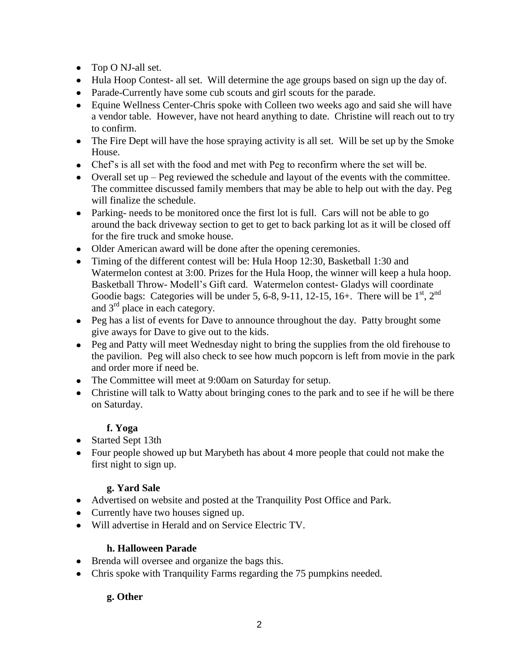- Top O NJ-all set.
- Hula Hoop Contest- all set. Will determine the age groups based on sign up the day of.
- Parade-Currently have some cub scouts and girl scouts for the parade.
- Equine Wellness Center-Chris spoke with Colleen two weeks ago and said she will have a vendor table. However, have not heard anything to date. Christine will reach out to try to confirm.
- The Fire Dept will have the hose spraying activity is all set. Will be set up by the Smoke House.
- Chef's is all set with the food and met with Peg to reconfirm where the set will be.
- Overall set up Peg reviewed the schedule and layout of the events with the committee. The committee discussed family members that may be able to help out with the day. Peg will finalize the schedule.
- Parking- needs to be monitored once the first lot is full. Cars will not be able to go around the back driveway section to get to get to back parking lot as it will be closed off for the fire truck and smoke house.
- Older American award will be done after the opening ceremonies.
- Timing of the different contest will be: Hula Hoop 12:30, Basketball 1:30 and Watermelon contest at 3:00. Prizes for the Hula Hoop, the winner will keep a hula hoop. Basketball Throw- Modell's Gift card. Watermelon contest- Gladys will coordinate Goodie bags: Categories will be under 5, 6-8, 9-11, 12-15, 16+. There will be  $1<sup>st</sup>$ ,  $2<sup>nd</sup>$ and  $3<sup>rd</sup>$  place in each category.
- Peg has a list of events for Dave to announce throughout the day. Patty brought some give aways for Dave to give out to the kids.
- Peg and Patty will meet Wednesday night to bring the supplies from the old firehouse to the pavilion. Peg will also check to see how much popcorn is left from movie in the park and order more if need be.
- The Committee will meet at 9:00am on Saturday for setup.
- Christine will talk to Watty about bringing cones to the park and to see if he will be there on Saturday.

# **f. Yoga**

- Started Sept 13th
- Four people showed up but Marybeth has about 4 more people that could not make the first night to sign up.

### **g. Yard Sale**

- Advertised on website and posted at the Tranquility Post Office and Park.
- Currently have two houses signed up.
- Will advertise in Herald and on Service Electric TV.

### **h. Halloween Parade**

- Brenda will oversee and organize the bags this.
- Chris spoke with Tranquility Farms regarding the 75 pumpkins needed.

# **g. Other**